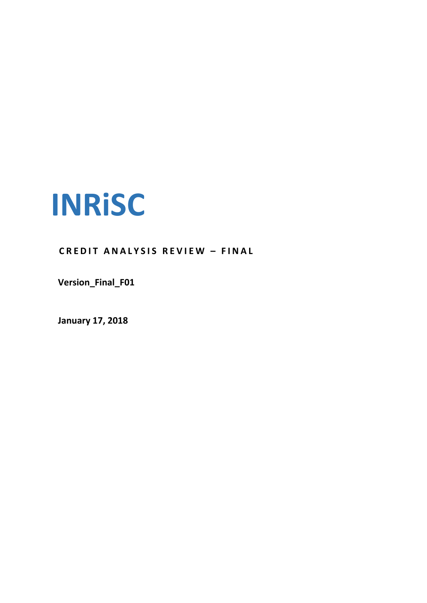

**C R E D I T A N A L Y S I S R E V I E W – F I N A L**

**Version\_Final\_F01**

**January 17, 2018**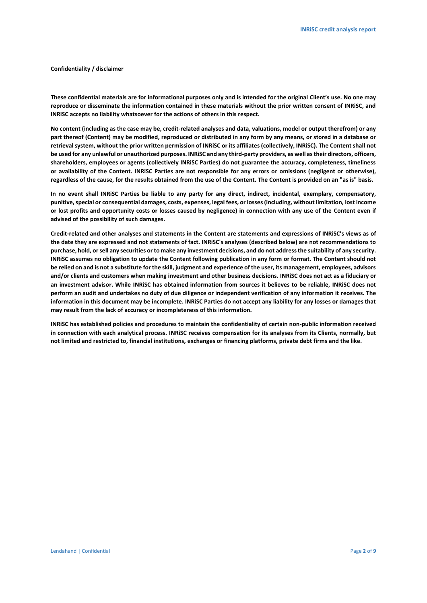# **Confidentiality / disclaimer**

**These confidential materials are for informational purposes only and is intended for the original Client's use. No one may reproduce or disseminate the information contained in these materials without the prior written consent of INRiSC, and INRiSC accepts no liability whatsoever for the actions of others in this respect.**

**No content (including as the case may be, credit-related analyses and data, valuations, model or output therefrom) or any part thereof (Content) may be modified, reproduced or distributed in any form by any means, or stored in a database or retrieval system, without the prior written permission of INRiSC or its affiliates (collectively, INRiSC). The Content shall not be used for any unlawful or unauthorized purposes. INRiSC and any third-party providers, as well as their directors, officers, shareholders, employees or agents (collectively INRiSC Parties) do not guarantee the accuracy, completeness, timeliness or availability of the Content. INRiSC Parties are not responsible for any errors or omissions (negligent or otherwise), regardless of the cause, for the results obtained from the use of the Content. The Content is provided on an "as is" basis.** 

**In no event shall INRiSC Parties be liable to any party for any direct, indirect, incidental, exemplary, compensatory, punitive, special or consequential damages, costs, expenses, legal fees, or losses (including, without limitation, lost income or lost profits and opportunity costs or losses caused by negligence) in connection with any use of the Content even if advised of the possibility of such damages.**

**Credit-related and other analyses and statements in the Content are statements and expressions of INRiSC's views as of the date they are expressed and not statements of fact. INRiSC's analyses (described below) are not recommendations to purchase, hold, or sell any securities or to make any investment decisions, and do not address the suitability of any security. INRiSC assumes no obligation to update the Content following publication in any form or format. The Content should not be relied on and is not a substitute for the skill, judgment and experience of the user, its management, employees, advisors and/or clients and customers when making investment and other business decisions. INRiSC does not act as a fiduciary or an investment advisor. While INRiSC has obtained information from sources it believes to be reliable, INRiSC does not perform an audit and undertakes no duty of due diligence or independent verification of any information it receives. The information in this document may be incomplete. INRiSC Parties do not accept any liability for any losses or damages that may result from the lack of accuracy or incompleteness of this information.**

**INRiSC has established policies and procedures to maintain the confidentiality of certain non-public information received in connection with each analytical process. INRiSC receives compensation for its analyses from its Clients, normally, but not limited and restricted to, financial institutions, exchanges or financing platforms, private debt firms and the like.**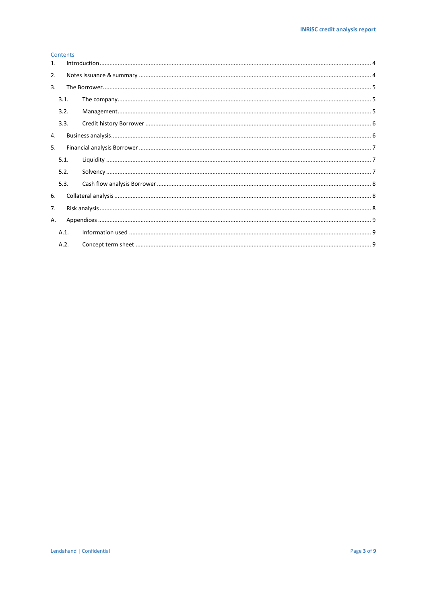# Contents

| 1. |      |  |  |  |  |  |  |
|----|------|--|--|--|--|--|--|
| 2. |      |  |  |  |  |  |  |
| 3. |      |  |  |  |  |  |  |
|    | 3.1. |  |  |  |  |  |  |
|    | 3.2. |  |  |  |  |  |  |
|    | 3.3. |  |  |  |  |  |  |
| 4. |      |  |  |  |  |  |  |
| 5. |      |  |  |  |  |  |  |
|    | 5.1. |  |  |  |  |  |  |
|    | 5.2. |  |  |  |  |  |  |
|    | 5.3. |  |  |  |  |  |  |
| 6. |      |  |  |  |  |  |  |
| 7. |      |  |  |  |  |  |  |
| Α. |      |  |  |  |  |  |  |
|    | A.1. |  |  |  |  |  |  |
|    | A.2. |  |  |  |  |  |  |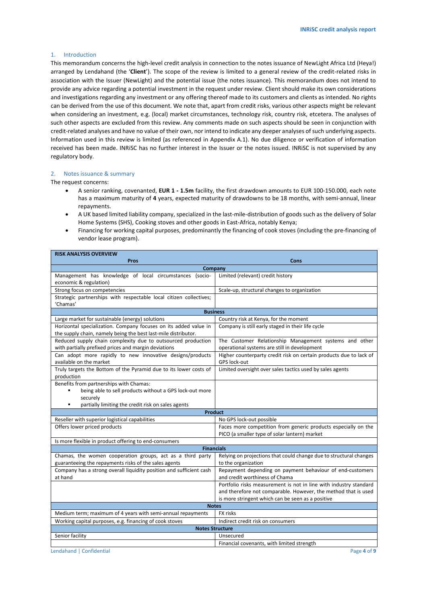# <span id="page-3-0"></span>1. Introduction

This memorandum concerns the high-level credit analysis in connection to the notes issuance of NewLight Africa Ltd (Heya!) arranged by Lendahand (the '**Client**'). The scope of the review is limited to a general review of the credit-related risks in association with the Issuer (NewLight) and the potential issue (the notes issuance). This memorandum does not intend to provide any advice regarding a potential investment in the request under review. Client should make its own considerations and investigations regarding any investment or any offering thereof made to its customers and clients as intended. No rights can be derived from the use of this document. We note that, apart from credit risks, various other aspects might be relevant when considering an investment, e.g. (local) market circumstances, technology risk, country risk, etcetera. The analyses of such other aspects are excluded from this review. Any comments made on such aspects should be seen in conjunction with credit-related analyses and have no value of their own, nor intend to indicate any deeper analyses of such underlying aspects. Information used in this review is limited (as referenced in Appendix A.1). No due diligence or verification of information received has been made. INRiSC has no further interest in the Issuer or the notes issued. INRiSC is not supervised by any regulatory body.

## <span id="page-3-1"></span>2. Notes issuance & summary

The request concerns:

- A senior ranking, covenanted, **EUR 1 - 1.5m** facility, the first drawdown amounts to EUR 100-150.000, each note has a maximum maturity of **4** years, expected maturity of drawdowns to be 18 months, with semi-annual, linear repayments.
- A UK based limited liability company, specialized in the last-mile-distribution of goods such as the delivery of Solar Home Systems (SHS), Cooking stoves and other goods in East-Africa, notably Kenya;
- Financing for working capital purposes, predominantly the financing of cook stoves (including the pre-financing of vendor lease program).

|                                                                                                                                                                      | <b>RISK ANALYSIS OVERVIEW</b>                                                                                   |  |  |  |  |  |  |  |
|----------------------------------------------------------------------------------------------------------------------------------------------------------------------|-----------------------------------------------------------------------------------------------------------------|--|--|--|--|--|--|--|
| <b>Pros</b>                                                                                                                                                          | Cons                                                                                                            |  |  |  |  |  |  |  |
| Company                                                                                                                                                              |                                                                                                                 |  |  |  |  |  |  |  |
| Management has knowledge of local circumstances (socio-                                                                                                              | Limited (relevant) credit history                                                                               |  |  |  |  |  |  |  |
| economic & regulation)                                                                                                                                               |                                                                                                                 |  |  |  |  |  |  |  |
| Strong focus on competencies                                                                                                                                         | Scale-up, structural changes to organization                                                                    |  |  |  |  |  |  |  |
| Strategic partnerships with respectable local citizen collectives;<br>'Chamas'                                                                                       |                                                                                                                 |  |  |  |  |  |  |  |
|                                                                                                                                                                      | <b>Business</b>                                                                                                 |  |  |  |  |  |  |  |
| Large market for sustainable (energy) solutions                                                                                                                      | Country risk at Kenya, for the moment                                                                           |  |  |  |  |  |  |  |
| Horizontal specialization. Company focuses on its added value in<br>the supply chain, namely being the best last-mile distributor.                                   | Company is still early staged in their life cycle                                                               |  |  |  |  |  |  |  |
| Reduced supply chain complexity due to outsourced production<br>with partially prefixed prices and margin deviations                                                 | The Customer Relationship Management systems and other<br>operational systems are still in development          |  |  |  |  |  |  |  |
| Can adopt more rapidly to new innovative designs/products<br>available on the market                                                                                 | Higher counterparty credit risk on certain products due to lack of<br>GPS lock-out                              |  |  |  |  |  |  |  |
| Truly targets the Bottom of the Pyramid due to its lower costs of<br>production                                                                                      | Limited oversight over sales tactics used by sales agents                                                       |  |  |  |  |  |  |  |
| Benefits from partnerships with Chamas:<br>being able to sell products without a GPS lock-out more<br>securely<br>partially limiting the credit risk on sales agents |                                                                                                                 |  |  |  |  |  |  |  |
|                                                                                                                                                                      | <b>Product</b>                                                                                                  |  |  |  |  |  |  |  |
| Reseller with superior logistical capabilities                                                                                                                       | No GPS lock-out possible                                                                                        |  |  |  |  |  |  |  |
| Offers lower priced products                                                                                                                                         | Faces more competition from generic products especially on the<br>PICO (a smaller type of solar lantern) market |  |  |  |  |  |  |  |
| Is more flexible in product offering to end-consumers                                                                                                                |                                                                                                                 |  |  |  |  |  |  |  |
|                                                                                                                                                                      | <b>Financials</b>                                                                                               |  |  |  |  |  |  |  |
| Chamas, the women cooperation groups, act as a third party<br>guaranteeing the repayments risks of the sales agents                                                  | Relying on projections that could change due to structural changes<br>to the organization                       |  |  |  |  |  |  |  |
| Company has a strong overall liquidity position and sufficient cash                                                                                                  | Repayment depending on payment behaviour of end-customers                                                       |  |  |  |  |  |  |  |
| at hand                                                                                                                                                              | and credit worthiness of Chama                                                                                  |  |  |  |  |  |  |  |
|                                                                                                                                                                      | Portfolio risks measurement is not in line with industry standard                                               |  |  |  |  |  |  |  |
|                                                                                                                                                                      | and therefore not comparable. However, the method that is used                                                  |  |  |  |  |  |  |  |
|                                                                                                                                                                      | is more stringent which can be seen as a positive                                                               |  |  |  |  |  |  |  |
| <b>Notes</b><br>FX risks                                                                                                                                             |                                                                                                                 |  |  |  |  |  |  |  |
| Medium term; maximum of 4 years with semi-annual repayments                                                                                                          |                                                                                                                 |  |  |  |  |  |  |  |
| Working capital purposes, e.g. financing of cook stoves<br>Indirect credit risk on consumers                                                                         |                                                                                                                 |  |  |  |  |  |  |  |
| <b>Notes Structure</b><br>Senior facility<br>Unsecured                                                                                                               |                                                                                                                 |  |  |  |  |  |  |  |
|                                                                                                                                                                      | Financial covenants, with limited strength                                                                      |  |  |  |  |  |  |  |
| Page 4 of 9<br>Lendahand   Confidential                                                                                                                              |                                                                                                                 |  |  |  |  |  |  |  |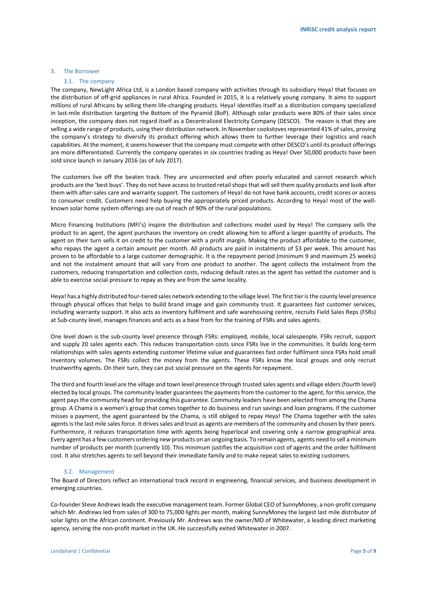# <span id="page-4-1"></span><span id="page-4-0"></span>3. The Borrower

# 3.1. The company

The company, NewLight Africa Ltd, is a London based company with activities through its subsidiary Heya! that focuses on the distribution of off-grid appliances in rural Africa. Founded in 2015, it is a relatively young company. It aims to support millions of rural Africans by selling them life-changing products. Heya! identifies itself as a distribution company specialized in last-mile distribution targeting the Bottom of the Pyramid (BoP). Although solar products were 80% of their sales since inception, the company does not regard itself as a Decentralized Electricity Company (DESCO). The reason is that they are selling a wide range of products, using their distribution network. In November cookstoves represented 41% of sales, proving the company's strategy to diversify its product offering which allows them to further leverage their logistics and reach capabilities. At the moment, it seems however that the company must compete with other DESCO's until its product offerings are more differentiated. Currently the company operates in six countries trading as Heya! Over 50,000 products have been sold since launch in January 2016 (as of July 2017).

The customers live off the beaten track. They are unconnected and often poorly educated and cannot research which products are the 'best buys'. They do not have access to trusted retail shops that will sell them quality products and look after them with after-sales care and warranty support. The customers of Heya! do not have bank accounts, credit scores or access to consumer credit. Customers need help buying the appropriately priced products. According to Heya! most of the wellknown solar home system offerings are out of reach of 90% of the rural populations.

Micro Financing Institutions (MFI's) inspire the distribution and collections model used by Heya! The company sells the product to an agent, the agent purchases the inventory on credit allowing him to afford a larger quantity of products. The agent on their turn sells it on credit to the customer with a profit margin. Making the product affordable to the customer, who repays the agent a certain amount per month. All products are paid in instalments of \$3 per week. This amount has proven to be affordable to a large customer demographic. It is the repayment period (minimum 9 and maximum 25 weeks) and not the instalment amount that will vary from one product to another. The agent collects the instalment from the customers, reducing transportation and collection costs, reducing default rates as the agent has vetted the customer and is able to exercise social pressure to repay as they are from the same locality.

Heya! has a highly distributed four-tiered sales network extending to the village level. The first tier is the county level presence through physical offices that helps to build brand image and gain community trust. It guarantees fast customer services, including warranty support. It also acts as inventory fulfilment and safe warehousing centre, recruits Field Sales Reps (FSRs) at Sub-county level, manages finances and acts as a base from for the training of FSRs and sales agents.

One level down is the sub-county level presence through FSRs: employed, mobile, local salespeople. FSRs recruit, support and supply 20 sales agents each. This reduces transportation costs since FSRs live in the communities. It builds long-term relationships with sales agents extending customer lifetime value and guarantees fast order fulfilment since FSRs hold small inventory volumes. The FSRs collect the money from the agents. These FSRs know the local groups and only recruit trustworthy agents. On their turn, they can put social pressure on the agents for repayment.

The third and fourth level are the village and town level presence through trusted sales agents and village elders (fourth level) elected by local groups. The community leader guarantees the payments from the customer to the agent, for this service, the agent pays the community head for providing this guarantee. Community leaders have been selected from among the Chama group. A Chama is a women's group that comes together to do business and run savings and loan programs. If the customer misses a payment, the agent guaranteed by the Chama, is still obliged to repay Heya! The Chama together with the sales agents is the last mile sales force. It drives sales and trust as agents are members of the community and chosen by their peers. Furthermore, it reduces transportation time with agents being hyperlocal and covering only a narrow geographical area. Every agent has a few customers ordering new products on an ongoing basis. To remain agents, agents need to sell a minimum number of products per month (currently 10). This minimum justifies the acquisition cost of agents and the order fulfilment cost. It also stretches agents to sell beyond their immediate family and to make repeat sales to existing customers.

# 3.2. Management

<span id="page-4-2"></span>The Board of Directors reflect an international track record in engineering, financial services, and business development in emerging countries.

Co-founder Steve Andrews leads the executive management team. Former Global CEO of SunnyMoney, a non-profit company which Mr. Andrews led from sales of 300 to 75,000 lights per month, making SunnyMoney the largest last mile distributor of solar lights on the African continent. Previously Mr. Andrews was the owner/MD of Whitewater, a leading direct marketing agency, serving the non-profit market in the UK. He successfully exited Whitewater in 2007.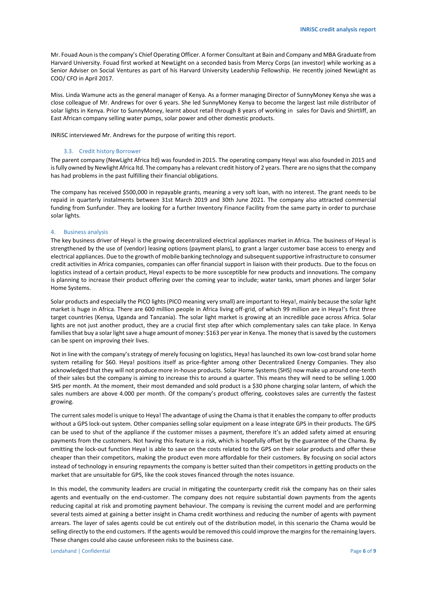Mr. Fouad Aoun is the company's Chief Operating Officer. A former Consultant at Bain and Company and MBA Graduate from Harvard University. Fouad first worked at NewLight on a seconded basis from Mercy Corps (an investor) while working as a Senior Adviser on Social Ventures as part of his Harvard University Leadership Fellowship. He recently joined NewLight as COO/ CFO in April 2017.

Miss. Linda Wamune acts as the general manager of Kenya. As a former managing Director of SunnyMoney Kenya she was a close colleague of Mr. Andrews for over 6 years. She led SunnyMoney Kenya to become the largest last mile distributor of solar lights in Kenya. Prior to SunnyMoney, learnt about retail through 8 years of working in sales for Davis and Shirtliff, an East African company selling water pumps, solar power and other domestic products.

INRiSC interviewed Mr. Andrews for the purpose of writing this report.

#### 3.3. Credit history Borrower

<span id="page-5-0"></span>The parent company (NewLight Africa ltd) was founded in 2015. The operating company Heya! was also founded in 2015 and is fully owned by Newlight Africa ltd. The company has a relevant credit history of 2 years. There are no signs that the company has had problems in the past fulfilling their financial obligations.

The company has received \$500,000 in repayable grants, meaning a very soft loan, with no interest. The grant needs to be repaid in quarterly instalments between 31st March 2019 and 30th June 2021. The company also attracted commercial funding from Sunfunder. They are looking for a further Inventory Finance Facility from the same party in order to purchase solar lights.

#### <span id="page-5-1"></span>4. Business analysis

The key business driver of Heya! is the growing decentralized electrical appliances market in Africa. The business of Heya! is strengthened by the use of (vendor) leasing options (payment plans), to grant a larger customer base access to energy and electrical appliances. Due to the growth of mobile banking technology and subsequent supportive infrastructure to consumer credit activities in Africa companies, companies can offer financial support in liaison with their products. Due to the focus on logistics instead of a certain product, Heya! expects to be more susceptible for new products and innovations. The company is planning to increase their product offering over the coming year to include; water tanks, smart phones and larger Solar Home Systems.

Solar products and especially the PICO lights (PICO meaning very small) are important to Heya!, mainly because the solar light market is huge in Africa. There are 600 million people in Africa living off-grid, of which 99 million are in Heya!'s first three target countries (Kenya, Uganda and Tanzania). The solar light market is growing at an incredible pace across Africa. Solar lights are not just another product, they are a crucial first step after which complementary sales can take place. In Kenya families that buy a solar light save a huge amount of money: \$163 per year in Kenya. The money that is saved by the customers can be spent on improving their lives.

Not in line with the company'sstrategy of merely focusing on logistics, Heya! has launched its own low-cost brand solar home system retailing for \$60. Heya! positions itself as price-fighter among other Decentralized Energy Companies. They also acknowledged that they will not produce more in-house products. Solar Home Systems (SHS) now make up around one-tenth of their sales but the company is aiming to increase this to around a quarter. This means they will need to be selling 1.000 SHS per month. At the moment, their most demanded and sold product is a \$30 phone charging solar lantern, of which the sales numbers are above 4.000 per month. Of the company's product offering, cookstoves sales are currently the fastest growing.

The current sales model is unique to Heya! The advantage of using the Chama is that it enables the company to offer products without a GPS lock-out system. Other companies selling solar equipment on a lease integrate GPS in their products. The GPS can be used to shut of the appliance if the customer misses a payment, therefore it's an added safety aimed at ensuring payments from the customers. Not having this feature is a risk, which is hopefully offset by the guarantee of the Chama. By omitting the lock-out function Heya! is able to save on the costs related to the GPS on their solar products and offer these cheaper than their competitors, making the product even more affordable for their customers. By focusing on social actors instead of technology in ensuring repayments the company is better suited than their competitors in getting products on the market that are unsuitable for GPS, like the cook stoves financed through the notes issuance.

In this model, the community leaders are crucial in mitigating the counterparty credit risk the company has on their sales agents and eventually on the end-customer. The company does not require substantial down payments from the agents reducing capital at risk and promoting payment behaviour. The company is revising the current model and are performing several tests aimed at gaining a better insight in Chama credit worthiness and reducing the number of agents with payment arrears. The layer of sales agents could be cut entirely out of the distribution model, in this scenario the Chama would be selling directly to the end customers. If the agents would be removed this could improve the margins for the remaining layers. These changes could also cause unforeseen risks to the business case.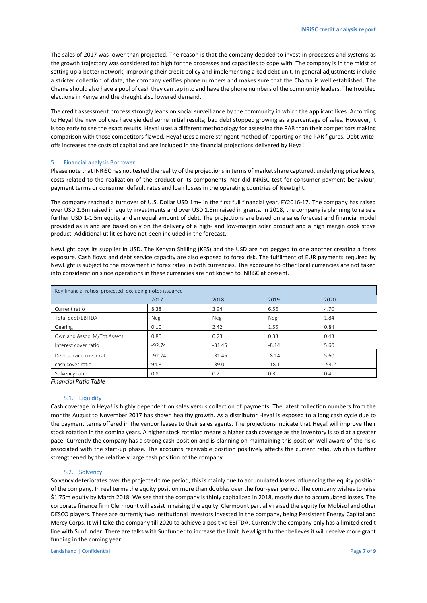The sales of 2017 was lower than projected. The reason is that the company decided to invest in processes and systems as the growth trajectory was considered too high for the processes and capacities to cope with. The company is in the midst of setting up a better network, improving their credit policy and implementing a bad debt unit. In general adjustments include a stricter collection of data; the company verifies phone numbers and makes sure that the Chama is well established. The Chama should also have a pool of cash they can tap into and have the phone numbers of the community leaders. The troubled elections in Kenya and the draught also lowered demand.

The credit assessment process strongly leans on social surveillance by the community in which the applicant lives. According to Heya! the new policies have yielded some initial results; bad debt stopped growing as a percentage of sales. However, it is too early to see the exact results. Heya! uses a different methodology for assessing the PAR than their competitors making comparison with those competitors flawed. Heya! uses a more stringent method of reporting on the PAR figures. Debt writeoffs increases the costs of capital and are included in the financial projections delivered by Heya!

# <span id="page-6-0"></span>5. Financial analysis Borrower

Please note that INRiSC has not tested the reality of the projections in terms of market share captured, underlying price levels, costs related to the realization of the product or its components. Nor did INRiSC test for consumer payment behaviour, payment terms or consumer default rates and loan losses in the operating countries of NewLight.

The company reached a turnover of U.S. Dollar USD 1m+ in the first full financial year, FY2016-17. The company has raised over USD 2.3m raised in equity investments and over USD 1.5m raised in grants. In 2018, the company is planning to raise a further USD 1-1.5m equity and an equal amount of debt. The projections are based on a sales forecast and financial model provided as is and are based only on the delivery of a high- and low-margin solar product and a high margin cook stove product. Additional utilities have not been included in the forecast.

NewLight pays its supplier in USD. The Kenyan Shilling (KES) and the USD are not pegged to one another creating a forex exposure. Cash flows and debt service capacity are also exposed to forex risk. The fulfilment of EUR payments required by NewLight is subject to the movement in forex rates in both currencies. The exposure to other local currencies are not taken into consideration since operations in these currencies are not known to INRiSC at present.

| Key financial ratios, projected, excluding notes issuance |          |          |         |         |  |  |  |  |
|-----------------------------------------------------------|----------|----------|---------|---------|--|--|--|--|
|                                                           | 2017     | 2018     | 2019    | 2020    |  |  |  |  |
| Current ratio                                             | 8.38     | 3.94     | 6.56    | 4.70    |  |  |  |  |
| Total debt/EBITDA                                         | Neg      | Neg      | Neg     | 1.84    |  |  |  |  |
| Gearing                                                   | 0.10     | 2.42     | 1.55    | 0.84    |  |  |  |  |
| Own and Assoc. M/Tot Assets                               | 0.80     | 0.23     | 0.33    | 0.43    |  |  |  |  |
| Interest cover ratio                                      | $-92.74$ | $-31.45$ | $-8.14$ | 5.60    |  |  |  |  |
| Debt service cover ratio                                  | $-92.74$ | $-31.45$ | $-8.14$ | 5.60    |  |  |  |  |
| cash cover ratio                                          | 94.8     | $-39.0$  | $-18.1$ | $-54.2$ |  |  |  |  |
| Solvency ratio                                            | 0.8      | 0.2      | 0.3     | 0.4     |  |  |  |  |

*Financial Ratio Table*

#### 5.1. Liquidity

<span id="page-6-1"></span>Cash coverage in Heya! is highly dependent on sales versus collection of payments. The latest collection numbers from the months August to November 2017 has shown healthy growth. As a distributor Heya! is exposed to a long cash cycle due to the payment terms offered in the vendor leases to their sales agents. The projections indicate that Heya! will improve their stock rotation in the coming years. A higher stock rotation means a higher cash coverage as the inventory is sold at a greater pace. Currently the company has a strong cash position and is planning on maintaining this position well aware of the risks associated with the start-up phase. The accounts receivable position positively affects the current ratio, which is further strengthened by the relatively large cash position of the company.

## 5.2. Solvency

<span id="page-6-2"></span>Solvency deteriorates over the projected time period, this is mainly due to accumulated losses influencing the equity position of the company. In real terms the equity position more than doubles over the four-year period. The company wishes to raise \$1.75m equity by March 2018. We see that the company is thinly capitalized in 2018, mostly due to accumulated losses. The corporate finance firm Clermount will assist in raising the equity. Clermount partially raised the equity for Mobisol and other DESCO players. There are currently two institutional investors invested in the company, being Persistent Energy Capital and Mercy Corps. It will take the company till 2020 to achieve a positive EBITDA. Currently the company only has a limited credit line with Sunfunder. There are talks with Sunfunder to increase the limit. NewLight further believes it will receive more grant funding in the coming year.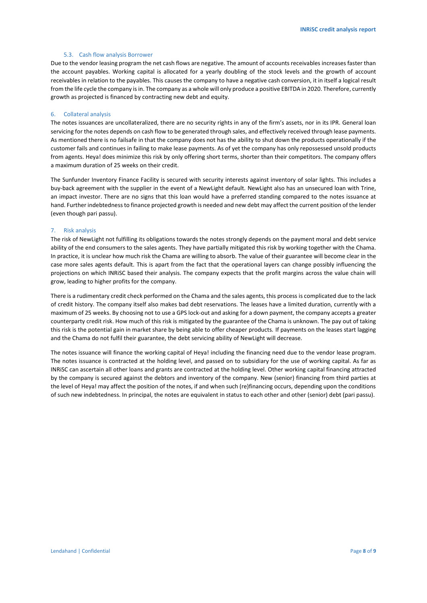## 5.3. Cash flow analysis Borrower

<span id="page-7-0"></span>Due to the vendor leasing program the net cash flows are negative. The amount of accounts receivables increases faster than the account payables. Working capital is allocated for a yearly doubling of the stock levels and the growth of account receivables in relation to the payables. This causes the company to have a negative cash conversion, it in itself a logical result from the life cycle the company is in. The company as a whole will only produce a positive EBITDA in 2020. Therefore, currently growth as projected is financed by contracting new debt and equity.

#### <span id="page-7-1"></span>6. Collateral analysis

The notes issuances are uncollateralized, there are no security rights in any of the firm's assets, nor in its IPR. General loan servicing for the notes depends on cash flow to be generated through sales, and effectively received through lease payments. As mentioned there is no failsafe in that the company does not has the ability to shut down the products operationally if the customer fails and continues in failing to make lease payments. As of yet the company has only repossessed unsold products from agents. Heya! does minimize this risk by only offering short terms, shorter than their competitors. The company offers a maximum duration of 25 weeks on their credit.

The Sunfunder Inventory Finance Facility is secured with security interests against inventory of solar lights. This includes a buy-back agreement with the supplier in the event of a NewLight default. NewLight also has an unsecured loan with Trine, an impact investor. There are no signs that this loan would have a preferred standing compared to the notes issuance at hand. Further indebtedness to finance projected growth is needed and new debt may affect the current position of the lender (even though pari passu).

## <span id="page-7-2"></span>7. Risk analysis

The risk of NewLight not fulfilling its obligations towards the notes strongly depends on the payment moral and debt service ability of the end consumers to the sales agents. They have partially mitigated this risk by working together with the Chama. In practice, it is unclear how much risk the Chama are willing to absorb. The value of their guarantee will become clear in the case more sales agents default. This is apart from the fact that the operational layers can change possibly influencing the projections on which INRiSC based their analysis. The company expects that the profit margins across the value chain will grow, leading to higher profits for the company.

There is a rudimentary credit check performed on the Chama and the sales agents, this process is complicated due to the lack of credit history. The company itself also makes bad debt reservations. The leases have a limited duration, currently with a maximum of 25 weeks. By choosing not to use a GPS lock-out and asking for a down payment, the company accepts a greater counterparty credit risk. How much of this risk is mitigated by the guarantee of the Chama is unknown. The pay out of taking this risk is the potential gain in market share by being able to offer cheaper products. If payments on the leases start lagging and the Chama do not fulfil their guarantee, the debt servicing ability of NewLight will decrease.

<span id="page-7-3"></span>The notes issuance will finance the working capital of Heya! including the financing need due to the vendor lease program. The notes issuance is contracted at the holding level, and passed on to subsidiary for the use of working capital. As far as INRiSC can ascertain all other loans and grants are contracted at the holding level. Other working capital financing attracted by the company is secured against the debtors and inventory of the company. New (senior) financing from third parties at the level of Heya! may affect the position of the notes, if and when such (re)financing occurs, depending upon the conditions of such new indebtedness. In principal, the notes are equivalent in status to each other and other (senior) debt (pari passu).